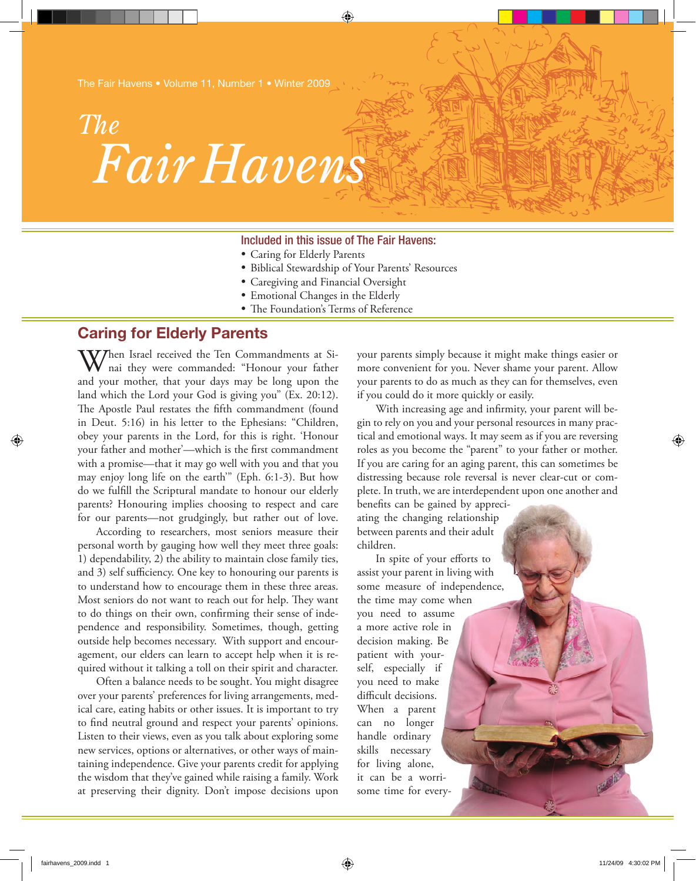The Fair Havens • Volume 11, Number 1 • Winter 2009

# *Fair Havens The*

### Included in this issue of The Fair Havens:

- • Caring for Elderly Parents
- • Biblical Stewardship of Your Parents' Resources

⊕

- • Caregiving and Financial Oversight
- • Emotional Changes in the Elderly
- The Foundation's Terms of Reference

## **Caring for Elderly Parents**

Then Israel received the Ten Commandments at Sinai they were commanded: "Honour your father and your mother, that your days may be long upon the land which the Lord your God is giving you" (Ex. 20:12). The Apostle Paul restates the fifth commandment (found in Deut. 5:16) in his letter to the Ephesians: "Children, obey your parents in the Lord, for this is right. 'Honour your father and mother'—which is the first commandment with a promise—that it may go well with you and that you may enjoy long life on the earth'" (Eph. 6:1-3). But how do we fulfill the Scriptural mandate to honour our elderly parents? Honouring implies choosing to respect and care for our parents—not grudgingly, but rather out of love.

According to researchers, most seniors measure their personal worth by gauging how well they meet three goals: 1) dependability, 2) the ability to maintain close family ties, and 3) self sufficiency. One key to honouring our parents is to understand how to encourage them in these three areas. Most seniors do not want to reach out for help. They want to do things on their own, confirming their sense of independence and responsibility. Sometimes, though, getting outside help becomes necessary. With support and encouragement, our elders can learn to accept help when it is required without it talking a toll on their spirit and character.

Often a balance needs to be sought. You might disagree over your parents' preferences for living arrangements, medical care, eating habits or other issues. It is important to try to find neutral ground and respect your parents' opinions. Listen to their views, even as you talk about exploring some new services, options or alternatives, or other ways of maintaining independence. Give your parents credit for applying the wisdom that they've gained while raising a family. Work at preserving their dignity. Don't impose decisions upon

your parents simply because it might make things easier or more convenient for you. Never shame your parent. Allow your parents to do as much as they can for themselves, even if you could do it more quickly or easily.

With increasing age and infirmity, your parent will begin to rely on you and your personal resources in many practical and emotional ways. It may seem as if you are reversing roles as you become the "parent" to your father or mother. If you are caring for an aging parent, this can sometimes be distressing because role reversal is never clear-cut or complete. In truth, we are interdependent upon one another and

benefits can be gained by appreciating the changing relationship between parents and their adult children.

In spite of your efforts to assist your parent in living with some measure of independence, the time may come when you need to assume a more active role in decision making. Be patient with yourself, especially if you need to make difficult decisions. When a parent can no longer handle ordinary skills necessary for living alone, it can be a worrisome time for every⊕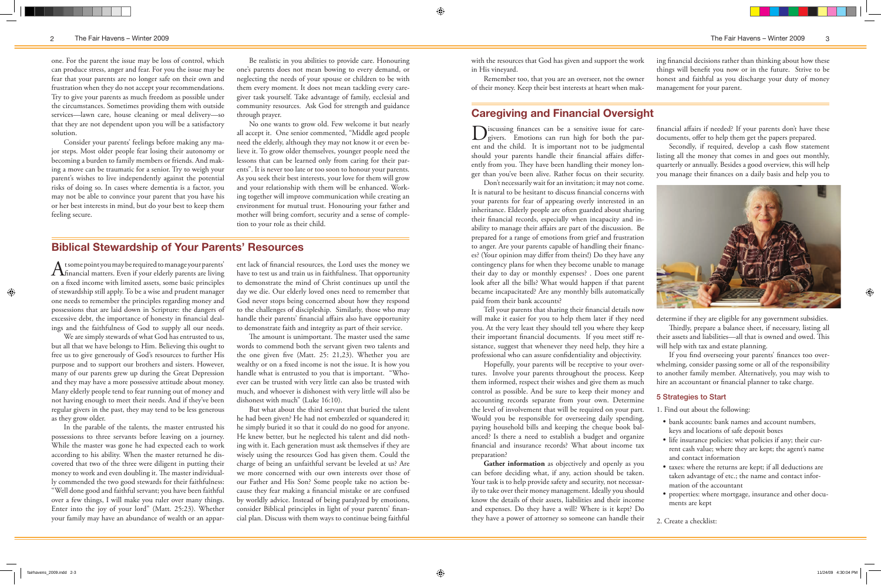one. For the parent the issue may be loss of control, which can produce stress, anger and fear. For you the issue may be fear that your parents are no longer safe on their own and frustration when they do not accept your recommendations. Try to give your parents as much freedom as possible under the circumstances. Sometimes providing them with outside services—lawn care, house cleaning or meal delivery—so that they are not dependent upon you will be a satisfactory solution.

Consider your parents' feelings before making any major steps. Most older people fear losing their autonomy or becoming a burden to family members or friends. And making a move can be traumatic for a senior. Try to weigh your parent's wishes to live independently against the potential risks of doing so. In cases where dementia is a factor, you may not be able to convince your parent that you have his or her best interests in mind, but do your best to keep them feeling secure.

Be realistic in you abilities to provide care. Honouring one's parents does not mean bowing to every demand, or neglecting the needs of your spouse or children to be with them every moment. It does not mean tackling every caregiver task yourself. Take advantage of family, ecclesial and community resources. Ask God for strength and guidance through prayer.

A tsome point you may be required to manage your parents'<br>financial matters. Even if your elderly parents are living on a fixed income with limited assets, some basic principles of stewardship still apply. To be a wise and prudent manager one needs to remember the principles regarding money and possessions that are laid down in Scripture: the dangers of excessive debt, the importance of honesty in financial dealings and the faithfulness of God to supply all our needs.

No one wants to grow old. Few welcome it but nearly all accept it. One senior commented, "Middle aged people need the elderly, although they may not know it or even believe it. To grow older themselves, younger people need the lessons that can be learned only from caring for their parents". It is never too late or too soon to honour your parents. As you seek their best interests, your love for them will grow and your relationship with them will be enhanced. Working together will improve communication while creating an environment for mutual trust. Honouring your father and mother will bring comfort, security and a sense of completion to your role as their child.

# **Biblical Stewardship of Your Parents' Resources**

We are simply stewards of what God has entrusted to us, but all that we have belongs to Him. Believing this ought to free us to give generously of God's resources to further His purpose and to support our brothers and sisters. However, many of our parents grew up during the Great Depression and they may have a more possessive attitude about money. Many elderly people tend to fear running out of money and not having enough to meet their needs. And if they've been regular givers in the past, they may tend to be less generous as they grow older.

Discussing finances can be a sensitive issue for care-<br>givers. Emotions can run high for both the parent and the child. It is important not to be judgmental should your parents handle their financial affairs differently from you. They have been handling their money longer than you've been alive. Rather focus on their security.

In the parable of the talents, the master entrusted his possessions to three servants before leaving on a journey. While the master was gone he had expected each to work according to his ability. When the master returned he discovered that two of the three were diligent in putting their money to work and even doubling it. The master individually commended the two good stewards for their faithfulness: "Well done good and faithful servant; you have been faithful over a few things, I will make you ruler over many things. Enter into the joy of your lord" (Matt. 25:23). Whether your family may have an abundance of wealth or an appar-

Gather information as objectively and openly as you can before deciding what, if any, action should be taken. Your task is to help provide safety and security, not necessarily to take over their money management. Ideally you should know the details of their assets, liabilities and their income and expenses. Do they have a will? Where is it kept? Do they have a power of attorney so someone can handle their

◈

ent lack of financial resources, the Lord uses the money we have to test us and train us in faithfulness. That opportunity to demonstrate the mind of Christ continues up until the day we die. Our elderly loved ones need to remember that God never stops being concerned about how they respond to the challenges of discipleship. Similarly, those who may handle their parents' financial affairs also have opportunity to demonstrate faith and integrity as part of their service.

The amount is unimportant. The master used the same words to commend both the servant given two talents and the one given five (Matt. 25: 21,23). Whether you are wealthy or on a fixed income is not the issue. It is how you handle what is entrusted to you that is important. "Whoever can be trusted with very little can also be trusted with much, and whoever is dishonest with very little will also be dishonest with much" (Luke 16:10).

But what about the third servant that buried the talent he had been given? He had not embezzled or squandered it; he simply buried it so that it could do no good for anyone. He knew better, but he neglected his talent and did nothing with it. Each generation must ask themselves if they are wisely using the resources God has given them. Could the charge of being an unfaithful servant be leveled at us? Are we more concerned with our own interests over those of our Father and His Son? Some people take no action because they fear making a financial mistake or are confused by worldly advice. Instead of being paralyzed by emotions, consider Biblical principles in light of your parents' financial plan. Discuss with them ways to continue being faithful

# **Caregiving and Financial Oversight**

Don't necessarily wait for an invitation; it may not come. It is natural to be hesitant to discuss financial concerns with your parents for fear of appearing overly interested in an inheritance. Elderly people are often guarded about sharing their financial records, especially when incapacity and inability to manage their affairs are part of the discussion. Be prepared for a range of emotions from grief and frustration to anger. Are your parents capable of handling their finances? (Your opinion may differ from theirs!) Do they have any contingency plans for when they become unable to manage their day to day or monthly expenses? . Does one parent look after all the bills? What would happen if that parent became incapacitated? Are any monthly bills automatically paid from their bank accounts?

Tell your parents that sharing their financial details now will make it easier for you to help them later if they need you. At the very least they should tell you where they keep their important financial documents. If you meet stiff resistance, suggest that whenever they need help, they hire a professional who can assure confidentiality and objectivity.

Hopefully, your parents will be receptive to your overtures. Involve your parents throughout the process. Keep them informed, respect their wishes and give them as much control as possible. And be sure to keep their money and accounting records separate from your own. Determine the level of involvement that will be required on your part. Would you be responsible for overseeing daily spending, paying household bills and keeping the cheque book balanced? Is there a need to establish a budget and organize financial and insurance records? What about income tax preparation?

financial affairs if needed? If your parents don't have these documents, offer to help them get the papers prepared.

Secondly, if required, develop a cash flow statement listing all the money that comes in and goes out monthly, quarterly or annually. Besides a good overview, this will help you manage their finances on a daily basis and help you to



determine if they are eligible for any government subsidies.

Thirdly, prepare a balance sheet, if necessary, listing all their assets and liabilities—all that is owned and owed. This will help with tax and estate planning.

If you find overseeing your parents' finances too overwhelming, consider passing some or all of the responsibility to another family member. Alternatively, you may wish to hire an accountant or financial planner to take charge.

### 5 Strategies to Start

1. Find out about the following:

- • bank accounts: bank names and account numbers, keys and locations of safe deposit boxes
- life insurance policies: what policies if any; their current cash value; where they are kept; the agent's name and contact information
- taxes: where the returns are kept; if all deductions are taken advantage of etc.; the name and contact information of the accountant
- properties: where mortgage, insurance and other documents are kept
- 2. Create a checklist:

 $\bigoplus$ 

with the resources that God has given and support the work in His vineyard.

Remember too, that you are an overseer, not the owner of their money. Keep their best interests at heart when making financial decisions rather than thinking about how these things will benefit you now or in the future. Strive to be honest and faithful as you discharge your duty of money management for your parent.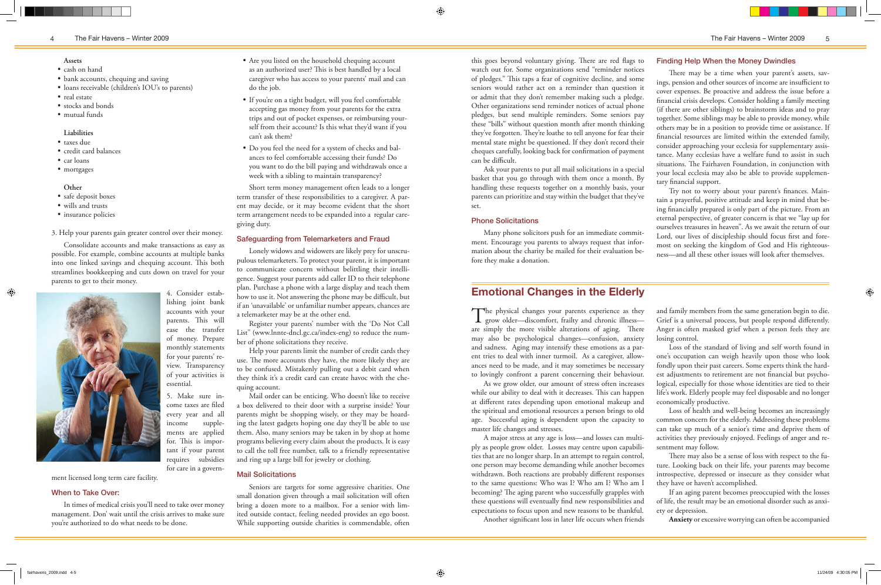#### 4 The Fair Havens – Winter 2009 The Fair Havens – Winter 2009 5

#### **Assets**

- • taxes due
- • credit card balances
- car loans
- mortgages
- • cash on hand
- bank accounts, chequing and saving
- loans receivable (children's IOU's to parents)
- real estate
- stocks and bonds
- • mutual funds

- • safe deposit boxes
- • wills and trusts
- insurance policies

#### **Liabilities**

#### **Other**

 $\bigoplus$ 

3. Help your parents gain greater control over their money.

Consolidate accounts and make transactions as easy as possible. For example, combine accounts at multiple banks into one linked savings and chequing account. This both streamlines bookkeeping and cuts down on travel for your parents to get to their money.



4. Consider estab-

lishing joint bank accounts with your parents. This will ease the transfer of money. Prepare monthly statements for your parents' review. Transparency of your activities is essential.

The physical changes your parents experience as they grow older—discomfort, frailty and chronic illness are simply the more visible alterations of aging. There may also be psychological changes—confusion, anxiety and sadness. Aging may intensify these emotions as a parent tries to deal with inner turmoil. As a caregiver, allowances need to be made, and it may sometimes be necessary to lovingly confront a parent concerning their behaviour.

5. Make sure income taxes are filed every year and all income supplements are applied for. This is important if your parent requires subsidies for care in a govern-

ment licensed long term care facility.

### When to Take Over:

In times of medical crisis you'll need to take over money management. Don' wait until the crisis arrives to make sure you're authorized to do what needs to be done.

- Are you listed on the household chequing account as an authorized user? This is best handled by a local caregiver who has access to your parents' mail and can do the job.
- • If you're on a tight budget, will you feel comfortable accepting gas money from your parents for the extra trips and out of pocket expenses, or reimbursing yourself from their account? Is this what they'd want if you can't ask them?
- • Do you feel the need for a system of checks and balances to feel comfortable accessing their funds? Do you want to do the bill paying and withdrawals once a week with a sibling to maintain transparency?

As we grow older, our amount of stress often increases while our ability to deal with it decreases. This can happen at different rates depending upon emotional makeup and the spiritual and emotional resources a person brings to old age. Successful aging is dependent upon the capacity to master life changes and stresses.

A major stress at any age is loss—and losses can multiply as people grow older. Losses may centre upon capabilities that are no longer sharp. In an attempt to regain control, one person may become demanding while another becomes withdrawn. Both reactions are probably different responses to the same questions: Who was I? Who am I? Who am I becoming? The aging parent who successfully grapples with these questions will eventually find new responsibilities and expectations to focus upon and new reasons to be thankful.

Another significant loss in later life occurs when friends

# **Emotional Changes in the Elderly**

Short term money management often leads to a longer term transfer of these responsibilities to a caregiver. A parent may decide, or it may become evident that the short term arrangement needs to be expanded into a regular caregiving duty.

#### Safeguarding from Telemarketers and Fraud

Lonely widows and widowers are likely prey for unscrupulous telemarketers. To protect your parent, it is important to communicate concern without belittling their intelligence. Suggest your parents add caller ID to their telephone plan. Purchase a phone with a large display and teach them how to use it. Not answering the phone may be difficult, but if an 'unavailable' or unfamiliar number appears, chances are a telemarketer may be at the other end.

Register your parents' number with the 'Do Not Call List" (www.lnnte-dncl.gc.ca/index-eng) to reduce the number of phone solicitations they receive.

Help your parents limit the number of credit cards they use. The more accounts they have, the more likely they are to be confused. Mistakenly pulling out a debit card when they think it's a credit card can create havoc with the chequing account.

Mail order can be enticing. Who doesn't like to receive a box delivered to their door with a surprise inside? Your parents might be shopping wisely, or they may be hoarding the latest gadgets hoping one day they'll be able to use them. Also, many seniors may be taken in by shop at home programs believing every claim about the products. It is easy to call the toll free number, talk to a friendly representative and ring up a large bill for jewelry or clothing.

#### Mail Solicitations

Seniors are targets for some aggressive charities. One small donation given through a mail solicitation will often bring a dozen more to a mailbox. For a senior with limited outside contact, feeling needed provides an ego boost. While supporting outside charities is commendable, often

this goes beyond voluntary giving. There are red flags to watch out for. Some organizations send "reminder notices" of pledges." This taps a fear of cognitive decline, and some seniors would rather act on a reminder than question it or admit that they don't remember making such a pledge. Other organizations send reminder notices of actual phone pledges, but send multiple reminders. Some seniors pay these "bills" without question month after month thinking they've forgotten. They're loathe to tell anyone for fear their mental state might be questioned. If they don't record their cheques carefully, looking back for confirmation of payment can be difficult.

Ask your parents to put all mail solicitations in a special basket that you go through with them once a month. By handling these requests together on a monthly basis, your parents can prioritize and stay within the budget that they've set.

### Phone Solicitations

Many phone solicitors push for an immediate commitment. Encourage you parents to always request that information about the charity be mailed for their evaluation before they make a donation.

> and family members from the same generation begin to die. Grief is a universal process, but people respond differently. Anger is often masked grief when a person feels they are losing control.

> Loss of the standard of living and self worth found in one's occupation can weigh heavily upon those who look fondly upon their past careers. Some experts think the hardest adjustments to retirement are not financial but psychological, especially for those whose identities are tied to their life's work. Elderly people may feel disposable and no longer economically productive.

> Loss of health and well-being becomes an increasingly common concern for the elderly. Addressing these problems can take up much of a senior's time and deprive them of activities they previously enjoyed. Feelings of anger and resentment may follow.

> There may also be a sense of loss with respect to the future. Looking back on their life, your parents may become introspective, depressed or insecure as they consider what they have or haven't accomplished.

> If an aging parent becomes preoccupied with the losses of life, the result may be an emotional disorder such as anxiety or depression.

**Anxiety** or excessive worrying can often be accompanied

 $\bigoplus$ 

#### Finding Help When the Money Dwindles

There may be a time when your parent's assets, savings, pension and other sources of income are insufficient to cover expenses. Be proactive and address the issue before a financial crisis develops. Consider holding a family meeting (if there are other siblings) to brainstorm ideas and to pray together. Some siblings may be able to provide money, while others may be in a position to provide time or assistance. If financial resources are limited within the extended family, consider approaching your ecclesia for supplementary assistance. Many ecclesias have a welfare fund to assist in such situations. The Fairhaven Foundation, in conjunction with your local ecclesia may also be able to provide supplementary financial support.

Try not to worry about your parent's finances. Maintain a prayerful, positive attitude and keep in mind that being financially prepared is only part of the picture. From an eternal perspective, of greater concern is that we "lay up for ourselves treasures in heaven". As we await the return of our Lord, our lives of discipleship should focus first and foremost on seeking the kingdom of God and His righteousness—and all these other issues will look after themselves.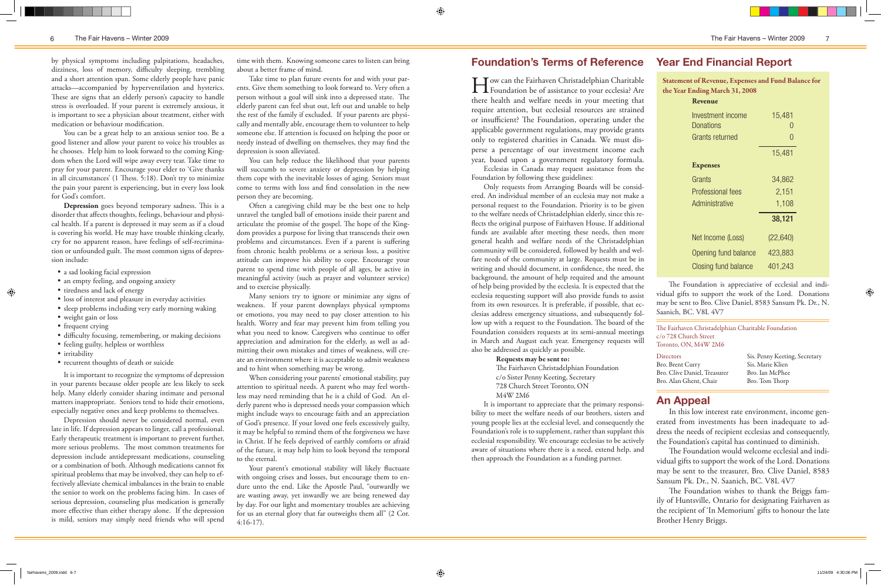The Fairhaven Christadelphian Charitable Foundation c/o 728 Church Street Toronto, ON, M4W 2M6

**How can the Fairhaven Christadelphian Charitable**<br>Foundation be of assistance to your ecclesia? Are there health and welfare needs in your meeting that require attention, but ecclesial resources are strained or insufficient? The Foundation, operating under the applicable government regulations, may provide grants only to registered charities in Canada. We must disperse a percentage of our investment income each year, based upon a government regulatory formula. Ecclesias in Canada may request assistance from the

Foundation by following these guidelines:

Only requests from Arranging Boards will be considered. An individual member of an ecclesia may not make a personal request to the Foundation. Priority is to be given to the welfare needs of Christadelphian elderly, since this reflects the original purpose of Fairhaven House. If additional funds are available after meeting these needs, then more general health and welfare needs of the Christadelphian community will be considered, followed by health and welfare needs of the community at large. Requests must be in writing and should document, in confidence, the need, the background, the amount of help required and the amount of help being provided by the ecclesia. It is expected that the ecclesia requesting support will also provide funds to assist from its own resources. It is preferable, if possible, that ecclesias address emergency situations, and subsequently follow up with a request to the Foundation. The board of the Foundation considers requests at its semi-annual meetings in March and August each year. Emergency requests will also be addressed as quickly as possible.

#### Requests may be sent to:

The Fairhaven Christadelphian Foundation c/o Sister Penny Keeting, Secretary 728 Church Street Toronto, ON M4W 2M6

It is important to appreciate that the primary responsibility to meet the welfare needs of our brothers, sisters and young people lies at the ecclesial level, and consequently the Foundation's role is to supplement, rather than supplant this ecclesial responsibility. We encourage ecclesias to be actively aware of situations where there is a need, extend help, and then approach the Foundation as a funding partner.

In this low interest rate environment, income generated from investments has been inadequate to address the needs of recipient ecclesias and consequently, the Foundation's capital has continued to diminish.

- a sad looking facial expression
- an empty feeling, and ongoing anxiety
- tiredness and lack of energy
- • loss of interest and pleasure in everyday activities
- sleep problems including very early morning waking
- weight gain or loss
- frequent crying
- • difficulty focusing, remembering, or making decisions
- feeling guilty, helpless or worthless
- irritability
- • recurrent thoughts of death or suicide

The Foundation would welcome ecclesial and individual gifts to support the work of the Lord. Donations may be sent to the treasurer, Bro. Clive Daniel, 8583 Sansum Pk. Dr., N. Saanich, BC. V8L 4V7

The Foundation wishes to thank the Briggs family of Huntsville, Ontario for designating Fairhaven as the recipient of 'In Memorium' gifts to honour the late Brother Henry Briggs.

 $\bigoplus$ 

# **An Appeal**

Statement of Revenue, Expenses and Fund Balance for the Year Ending March 31, 2008 **Revenue**

#### **Foundation's Terms of Reference Year End Financial Report**

| Investment income    | 15,481           |
|----------------------|------------------|
| Donations            |                  |
| Grants returned      | $\left( \right)$ |
|                      | 15,481           |
| <b>Expenses</b>      |                  |
| Grants               | 34,862           |
| Professional fees    | 2,151            |
| Administrative       | 1,108            |
|                      | 38,121           |
| Net Income (Loss)    | (22, 640)        |
| Opening fund balance | 423,883          |
| Closing fund balance | 401,243          |

The Foundation is appreciative of ecclesial and individual gifts to support the work of the Lord. Donations may be sent to Bro. Clive Daniel, 8583 Sansum Pk. Dr., N. Saanich, BC. V8L 4V7

| <b>Directors</b>             |
|------------------------------|
| Bro. Brent Curry             |
| Bro. Clive Daniel, Treasurer |
| Bro. Alan Ghent, Chair       |

Sis. Penny Keeting, Secretary Sis. Marie Klien Bro. Ian McPhee Bro. Tom Thorp

by physical symptoms including palpitations, headaches, dizziness, loss of memory, difficulty sleeping, trembling and a short attention span. Some elderly people have panic attacks—accompanied by hyperventilation and hysterics. These are signs that an elderly person's capacity to handle stress is overloaded. If your parent is extremely anxious, it is important to see a physician about treatment, either with medication or behaviour modification.

You can be a great help to an anxious senior too. Be a good listener and allow your parent to voice his troubles as he chooses. Help him to look forward to the coming Kingdom when the Lord will wipe away every tear. Take time to pray for your parent. Encourage your elder to 'Give thanks in all circumstances' (1 Thess. 5:18). Don't try to minimize the pain your parent is experiencing, but in every loss look for God's comfort.

> Your parent's emotional stability will likely fluctuate with ongoing crises and losses, but encourage them to endure unto the end. Like the Apostle Paul, "outwardly we are wasting away, yet inwardly we are being renewed day by day. For our light and momentary troubles are achieving for us an eternal glory that far outweighs them all" (2 Cor. 4:16-17).

**Depression** goes beyond temporary sadness. This is a disorder that affects thoughts, feelings, behaviour and physical health. If a parent is depressed it may seem as if a cloud is covering his world. He may have trouble thinking clearly, cry for no apparent reason, have feelings of self-recrimination or unfounded guilt. The most common signs of depression include:

It is important to recognize the symptoms of depression in your parents because older people are less likely to seek help. Many elderly consider sharing intimate and personal matters inappropriate. Seniors tend to hide their emotions, especially negative ones and keep problems to themselves.

Depression should never be considered normal, even late in life. If depression appears to linger, call a professional. Early therapeutic treatment is important to prevent further, more serious problems. The most common treatments for depression include antidepressant medications, counseling or a combination of both. Although medications cannot fix spiritual problems that may be involved, they can help to effectively alleviate chemical imbalances in the brain to enable the senior to work on the problems facing him. In cases of serious depression, counseling plus medication is generally more effective than either therapy alone. If the depression is mild, seniors may simply need friends who will spend

time with them. Knowing someone cares to listen can bring about a better frame of mind.

Take time to plan future events for and with your parents. Give them something to look forward to. Very often a person without a goal will sink into a depressed state. The elderly parent can feel shut out, left out and unable to help the rest of the family if excluded. If your parents are physically and mentally able, encourage them to volunteer to help someone else. If attention is focused on helping the poor or needy instead of dwelling on themselves, they may find the depression is soon alleviated.

You can help reduce the likelihood that your parents will succumb to severe anxiety or depression by helping them cope with the inevitable losses of aging. Seniors must come to terms with loss and find consolation in the new person they are becoming.

Often a caregiving child may be the best one to help unravel the tangled ball of emotions inside their parent and articulate the promise of the gospel. The hope of the Kingdom provides a purpose for living that transcends their own problems and circumstances. Even if a parent is suffering from chronic health problems or a serious loss, a positive attitude can improve his ability to cope. Encourage your parent to spend time with people of all ages, be active in meaningful activity (such as prayer and volunteer service) and to exercise physically.

Many seniors try to ignore or minimize any signs of weakness. If your parent downplays physical symptoms or emotions, you may need to pay closer attention to his health. Worry and fear may prevent him from telling you what you need to know. Caregivers who continue to offer appreciation and admiration for the elderly, as well as admitting their own mistakes and times of weakness, will create an environment where it is acceptable to admit weakness and to hint when something may be wrong.

When considering your parents' emotional stability, pay attention to spiritual needs. A parent who may feel worthless may need reminding that he is a child of God. An elderly parent who is depressed needs your compassion which might include ways to encourage faith and an appreciation of God's presence. If your loved one feels excessively guilty, it may be helpful to remind them of the forgiveness we have in Christ. If he feels deprived of earthly comforts or afraid of the future, it may help him to look beyond the temporal to the eternal.